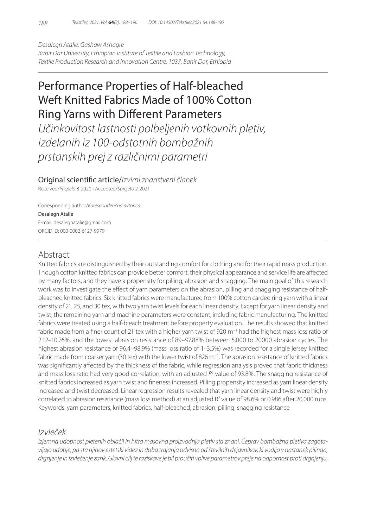*Desalegn Atalie, Gashaw Ashagre Bahir Dar University, Ethiopian Institute of Textile and Fashion Technology, Textile Production Research and Innovation Centre, 1037, Bahir Dar, Ethiopia*

# Performance Properties of Half-bleached Weft Knitted Fabrics Made of 100% Cotton Ring Yarns with Different Parameters

*Učinkovitost lastnosti polbeljenih votkovnih pletiv, izdelanih iz 100-odstotnih bombažnih prstanskih prej z različnimi parametri*

Original scientific article/*Izvirni znanstveni članek*

Received/*Prispelo* 8-2020 • Accepted/*Sprejeto* 2-2021

Corresponding author/*Korespondenčna avtorica*:

#### Desalegn Atalie

E-mail: desalegnatalie@gmail.com ORCID ID: 000-0002-6127-9979

# Abstract

Knitted fabrics are distinguished by their outstanding comfort for clothing and for their rapid mass production. Though cotton knitted fabrics can provide better comfort, their physical appearance and service life are affected by many factors, and they have a propensity for pilling, abrasion and snagging. The main goal of this research work was to investigate the effect of yarn parameters on the abrasion, pilling and snagging resistance of halfbleached knitted fabrics. Six knitted fabrics were manufactured from 100% cotton carded ring yarn with a linear density of 21, 25, and 30 tex, with two yarn twist levels for each linear density. Except for yarn linear density and twist, the remaining yarn and machine parameters were constant, including fabric manufacturing. The knitted fabrics were treated using a half-bleach treatment before property evaluation. The results showed that knitted fabric made from a finer count of 21 tex with a higher yarn twist of 920 m−1 had the highest mass loss ratio of 2.12–10.76%, and the lowest abrasion resistance of 89–97.88% between 5,000 to 20000 abrasion cycles. The highest abrasion resistance of 96.4–98.9% (mass loss ratio of 1–3.5%) was recorded for a single jersey knitted fabric made from coarser yarn (30 tex) with the lower twist of 826 m−1. The abrasion resistance of knitted fabrics was significantly affected by the thickness of the fabric, while regression analysis proved that fabric thickness and mass loss ratio had very good correlation, with an adjusted  $R^2$  value of 93.8%. The snagging resistance of knitted fabrics increased as yarn twist and fineness increased. Pilling propensity increased as yarn linear density increased and twist decreased. Linear regression results revealed that yarn linear density and twist were highly correlated to abrasion resistance (mass loss method) at an adjusted  $R^2$  value of 98.6% or 0.986 after 20,000 rubs. Keywords: yarn parameters, knitted fabrics, half-bleached, abrasion, pilling, snagging resistance

# *Izvleček*

*Izjemna udobnost pletenih oblačil in hitra masovna proizvodnja pletiv sta znani. Čeprav bombažna pletiva zagotavljajo udobje, pa sta njihov estetski videz in doba trajanja odvisna od številnih dejavnikov, ki vodijo v nastanek pilinga, drgnjenje in izvlečenje zank. Glavni cilj te raziskave je bil proučiti vplive parametrov preje na odpornost proti drgnjenju,*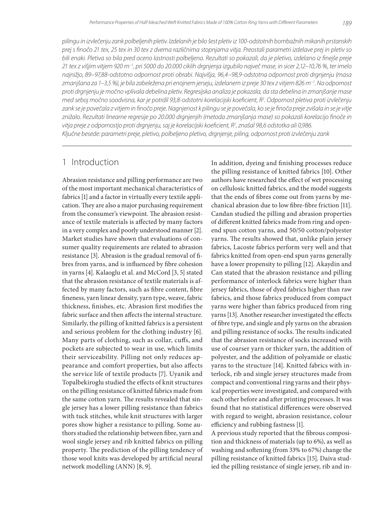*pilingu in izvlečenju zank polbeljenih pletiv. Izdelanih je bilo šest pletiv iz 100-odstotnih bombažnih mikanih prstanskih prej s finočo 21 tex, 25 tex in 30 tex z dvema različnima stopnjama vitja. Preostali parametri izdelave prej in pletiv so bili enaki. Pletiva so bila pred oceno lastnosti polbeljena. Rezultati so pokazali, da je pletivo, izdelano iz finejše preje 21 tex z višjim vitjem 920 m−1 , pri 5000 do 20.000 ciklih drgnjenja izgubilo največ mase, in sicer 2,12–10,76 %, ter imelo najnižjo, 89–97,88-odstotno odpornost proti obrabi. Najvišja, 96,4–98,9-odstotna odpornost proti drgnjenju (masa zmanjšana za 1–3,5 %), je bila zabeležena pri enojnem jerseju, izdelanem iz preje 30 tex z vitjem 826 m−1 . Na odpornost proti drgnjenju je močno vplivala debelina pletiv. Regresijska analiza je pokazala, da sta debelina in zmanjšanje mase med seboj močno soodvisna, kar je potrdil 93,8-odstotni korelacijski koeficient, R2 . Odpornost pletiva proti izvlečenju zank se je povečala z vitjem in finočo preje. Nagnjenost k pilingu se je povečala, ko se je finoča preje zvišala in se je vitje znižalo. Rezultati linearne regresije po 20.000 drgnjenjih (metoda zmanjšanja mase) so pokazali korelacijo finoče in vitja preje z odpornostjo proti drgnjenju, saj je korelacijski koeficient, R2 , znašal 98,6 odstotka ali 0,986. Ključne besede: parametri preje, pletivo, polbeljeno pletivo, drgnjenje, piling, odpornost proti izvlečenju zank*

# 1 Introduction

Abrasion resistance and pilling performance are two of the most important mechanical characteristics of fabrics [1] and a factor in virtually every textile application. They are also a major purchasing requirement from the consumer's viewpoint. The abrasion resistance of textile materials is affected by many factors in a very complex and poorly understood manner [2]. Market studies have shown that evaluations of consumer quality requirements are related to abrasion resistance [3]. Abrasion is the gradual removal of fibres from yarns, and is influenced by fibre cohesion in yarns [4]. Kalaoglu et al. and McCord [3, 5] stated that the abrasion resistance of textile materials is affected by many factors, such as fibre content, fibre fineness, yarn linear density, yarn type, weave, fabric thickness, finishes, etc. Abrasion first modifies the fabric surface and then affects the internal structure. Similarly, the pilling of knitted fabrics is a persistent and serious problem for the clothing industry [6]. Many parts of clothing, such as collar, cuffs, and pockets are subjected to wear in use, which limits their serviceability. Pilling not only reduces appearance and comfort properties, but also affects the service life of textile products [7]. Uyanik and Topalbekiroglu studied the effects of knit structures on the pilling resistance of knitted fabrics made from the same cotton yarn. The results revealed that single jersey has a lower pilling resistance than fabrics with tuck stitches, while knit structures with larger pores show higher a resistance to pilling. Some authors studied the relationship between fibre, yarn and wool single jersey and rib knitted fabrics on pilling property. The prediction of the pilling tendency of those wool knits was developed by artificial neural network modelling (ANN) [8, 9].

In addition, dyeing and finishing processes reduce the pilling resistance of knitted fabrics [10]. Other authors have researched the effect of wet processing on cellulosic knitted fabrics, and the model suggests that the ends of fibres come out from yarns by mechanical abrasion due to low fibre-fibre friction [11]. Candan studied the pilling and abrasion properties of different knitted fabrics made from ring and openend spun cotton yarns, and 50/50 cotton/polyester yarns. The results showed that, unlike plain jersey fabrics, Lacoste fabrics perform very well and that fabrics knitted from open-end spun yarns generally have a lower propensity to pilling [12]. Akaydin and Can stated that the abrasion resistance and pilling performance of interlock fabrics were higher than jersey fabrics, those of dyed fabrics higher than raw fabrics, and those fabrics produced from compact yarns were higher than fabrics produced from ring yarns [13]. Another researcher investigated the effects of fibre type, and single and ply yarns on the abrasion and pilling resistance of socks. The results indicated that the abrasion resistance of socks increased with use of coarser yarn or thicker yarn, the addition of polyester, and the addition of polyamide or elastic yarns to the structure [14]. Knitted fabrics with interlock, rib and single jersey structures made from compact and conventional ring yarns and their physical properties were investigated, and compared with each other before and after printing processes. It was found that no statistical differences were observed with regard to weight, abrasion resistance, colour efficiency and rubbing fastness [1].

A previous study reported that the fibrous composition and thickness of materials (up to 6%), as well as washing and softening (from 33% to 67%) change the pilling resistance of knitted fabrics [15]. Daiva studied the pilling resistance of single jersey, rib and in-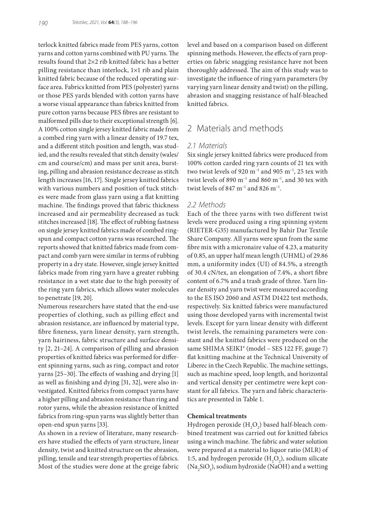terlock knitted fabrics made from PES yarns, cotton yarns and cotton yarns combined with PU yarns. The results found that 2×2 rib knitted fabric has a better pilling resistance than interlock, 1×1 rib and plain knitted fabric because of the reduced operating surface area. Fabrics knitted from PES (polyester) yarns or those PES yards blended with cotton yarns have a worse visual appearance than fabrics knitted from pure cotton yarns because PES fibres are resistant to malformed pills due to their exceptional strength [6]. A 100% cotton single jersey knitted fabric made from a combed ring yarn with a linear density of 19.7 tex, and a different stitch position and length, was studied, and the results revealed that stitch density (wales/ cm and course/cm) and mass per unit area, bursting, pilling and abrasion resistance decrease as stitch length increases [16, 17]. Single jersey knitted fabrics with various numbers and position of tuck stitches were made from glass yarn using a flat knitting machine. The findings proved that fabric thickness increased and air permeability decreased as tuck stitches increased [18]. The effect of rubbing fastness on single jersey knitted fabrics made of combed ringspun and compact cotton yarns was researched. The reports showed that knitted fabrics made from compact and comb yarn were similar in terms of rubbing property in a dry state. However, single jersey knitted fabrics made from ring yarn have a greater rubbing resistance in a wet state due to the high porosity of the ring yarn fabrics, which allows water molecules to penetrate [19, 20].

Numerous researchers have stated that the end-use properties of clothing, such as pilling effect and abrasion resistance, are influenced by material type, fibre fineness, yarn linear density, yarn strength, yarn hairiness, fabric structure and surface density [2, 21–24]. A comparison of pilling and abrasion properties of knitted fabrics was performed for different spinning yarns, such as ring, compact and rotor yarns [25–30]. The effects of washing and drying [1] as well as finishing and dying [31, 32], were also investigated. Knitted fabrics from compact yarns have a higher pilling and abrasion resistance than ring and rotor yarns, while the abrasion resistance of knitted fabrics from ring-spun yarns was slightly better than open-end spun yarns [33].

As shown in a review of literature, many researchers have studied the effects of yarn structure, linear density, twist and knitted structure on the abrasion, pilling, tensile and tear strength properties of fabrics. Most of the studies were done at the greige fabric level and based on a comparison based on different spinning methods. However, the effects of yarn properties on fabric snagging resistance have not been thoroughly addressed. The aim of this study was to investigate the influence of ring yarn parameters (by varying yarn linear density and twist) on the pilling, abrasion and snagging resistance of half-bleached knitted fabrics.

### 2 Materials and methods

#### *2.1 Materials*

Six single jersey knitted fabrics were produced from 100% cotton carded ring yarn counts of 21 tex with two twist levels of 920 m<sup>-1</sup> and 905 m<sup>-1</sup>, 25 tex with twist levels of 890 m<sup>-1</sup> and 860 m<sup>-1</sup>, and 30 tex with twist levels of 847 m<sup>-1</sup> and 826 m<sup>-1</sup>.

#### *2.2 Methods*

Each of the three yarns with two different twist levels were produced using a ring spinning system (RIETER-G35) manufactured by Bahir Dar Textile Share Company. All yarns were spun from the same fibre mix with a micronaire value of 4.23, a maturity of 0.85, an upper half mean length (UHML) of 29.86 mm, a uniformity index (UI) of 84.5%, a strength of 30.4 cN/tex, an elongation of 7.4%, a short fibre content of 6.7% and a trash grade of three. Yarn linear density and yarn twist were measured according to the ES ISO 2060 and ASTM D1422 test methods, respectively. Six knitted fabrics were manufactured using those developed yarns with incremental twist levels. Except for yarn linear density with different twist levels, the remaining parameters were constant and the knitted fabrics were produced on the same SHIMA SEIKI® (model - SES 122 FF, gauge 7) flat knitting machine at the Technical University of Liberec in the Czech Republic. The machine settings, such as machine speed, loop length, and horizontal and vertical density per centimetre were kept constant for all fabrics. The yarn and fabric characteristics are presented in Table 1.

#### **Chemical treatments**

Hydrogen peroxide  $(\mathrm{H}_{2}\mathrm{O}_{2})$  based half-bleach combined treatment was carried out for knitted fabrics using a winch machine. The fabric and water solution were prepared at a material to liquor ratio (MLR) of 1:5, and hydrogen peroxide  $(H_2O_2)$ , sodium silicate  $(Na_2SiO_3)$ , sodium hydroxide (NaOH) and a wetting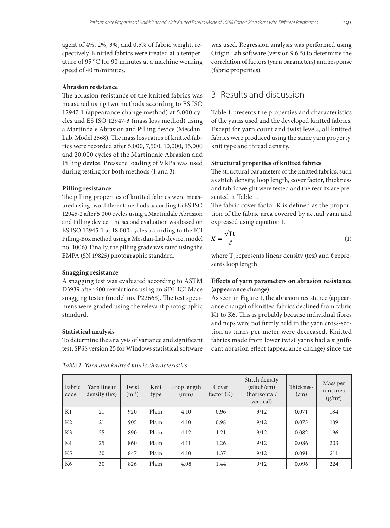agent of 4%, 2%, 3%, and 0.5% of fabric weight, respectively. Knitted fabrics were treated at a temperature of 95 °C for 90 minutes at a machine working speed of 40 m/minutes.

#### **Abrasion resistance**

The abrasion resistance of the knitted fabrics was measured using two methods according to ES ISO 12947-1 (appearance change method) at 5,000 cycles and ES ISO 12947-3 (mass loss method) using a Martindale Abrasion and Pilling device (Mesdan-Lab, Model 2568). The mass loss ratios of knitted fabrics were recorded after 5,000, 7,500, 10,000, 15,000 and 20,000 cycles of the Martindale Abrasion and Pilling device. Pressure loading of 9 kPa was used during testing for both methods (1 and 3).

#### **Pilling resistance**

The pilling properties of knitted fabrics were measured using two different methods according to ES ISO 12945-2 after 5,000 cycles using a Martindale Abrasion and Pilling device. The second evaluation was based on ES ISO 12945-1 at 18,000 cycles according to the ICI Pilling-Box method using a Mesdan-Lab device, model no. 1006). Finally, the pilling grade was rated using the EMPA (SN 19825) photographic standard.

#### **Snagging resistance**

A snagging test was evaluated according to ASTM D3939 after 600 revolutions using an SDL ICI Mace snagging tester (model no. P22668). The test specimens were graded using the relevant photographic standard.

#### **Statistical analysis**

To determine the analysis of variance and significant test, SPSS version 25 for Windows statistical software

was used. Regression analysis was performed using Origin Lab software (version 9.6.5) to determine the correlation of factors (yarn parameters) and response (fabric properties).

# 3 Results and discussion

Table 1 presents the properties and characteristics of the yarns used and the developed knitted fabrics. Except for yarn count and twist levels, all knitted fabrics were produced using the same yarn property, knit type and thread density.

#### **Structural properties of knitted fabrics**

The structural parameters of the knitted fabrics, such as stitch density, loop length, cover factor, thickness and fabric weight were tested and the results are presented in Table 1.

The fabric cover factor K is defined as the proportion of the fabric area covered by actual yarn and expressed using equation 1.

$$
K = \frac{\sqrt{T t}}{\ell} \tag{1}
$$

where  $T_t$  represents linear density (tex) and  $\ell$  represents loop length.

#### **Effects of yarn parameters on abrasion resistance (appearance change)**

As seen in Figure 1, the abrasion resistance (appearance change) of knitted fabrics declined from fabric K1 to K6. This is probably because individual fibres and neps were not firmly held in the yarn cross-section as turns per meter were decreased. Knitted fabrics made from lower twist yarns had a significant abrasion effect (appearance change) since the

| Fabric<br>code | Yarn linear<br>density (tex) | Twist<br>$(m^{-1})$ | Knit<br>type | Loop length<br>(mm) | Cover<br>factor(K) | Stitch density<br>$(\text{stitch/cm})$<br>(horizontal/<br>vertical) | Thickness<br>(cm) | Mass per<br>unit area<br>$(g/m^2)$ |
|----------------|------------------------------|---------------------|--------------|---------------------|--------------------|---------------------------------------------------------------------|-------------------|------------------------------------|
| K1             | 21                           | 920                 | Plain        | 4.10                | 0.96               | 9/12                                                                | 0.071             | 184                                |
| K <sub>2</sub> | 21                           | 905                 | Plain        | 4.10                | 0.98               | 9/12                                                                | 0.075             | 189                                |
| K <sub>3</sub> | 25                           | 890                 | Plain        | 4.12                | 1.21               | 9/12                                                                | 0.082             | 196                                |
| K4             | 25                           | 860                 | Plain        | 4.11                | 1.26               | 9/12                                                                | 0.086             | 203                                |
| K <sub>5</sub> | 30                           | 847                 | Plain        | 4.10                | 1.37               | 9/12                                                                | 0.091             | 211                                |
| K <sub>6</sub> | 30                           | 826                 | Plain        | 4.08                | 1.44               | 9/12                                                                | 0.096             | 224                                |

*Table 1: Yarn and knitted fabric characteristics*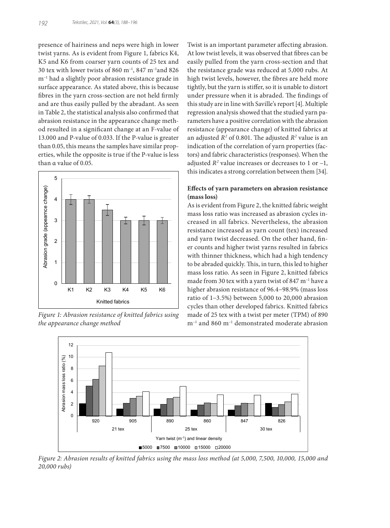presence of hairiness and neps were high in lower twist yarns. As is evident from Figure 1, fabrics K4, K5 and K6 from coarser yarn counts of 25 tex and 30 tex with lower twists of 860 m−1, 847 m−1and 826 m−1 had a slightly poor abrasion resistance grade in surface appearance. As stated above, this is because fibres in the yarn cross-section are not held firmly and are thus easily pulled by the abradant. As seen in Table 2, the statistical analysis also confirmed that abrasion resistance in the appearance change method resulted in a significant change at an F-value of 13.000 and P-value of 0.033. If the P-value is greater than 0.05, this means the samples have similar properties, while the opposite is true if the P-value is less than α value of 0.05.



*Figure 1: Abrasion resistance of knitted fabrics using the appearance change method*

Twist is an important parameter affecting abrasion. At low twist levels, it was observed that fibres can be easily pulled from the yarn cross-section and that the resistance grade was reduced at 5,000 rubs. At high twist levels, however, the fibres are held more tightly, but the yarn is stiffer, so it is unable to distort under pressure when it is abraded. The findings of this study are in line with Saville's report [4]. Multiple regression analysis showed that the studied yarn parameters have a positive correlation with the abrasion resistance (appearance change) of knitted fabrics at an adjusted *R*<sup>2</sup> of 0.801. The adjusted *R*<sup>2</sup> value is an indication of the correlation of yarn properties (factors) and fabric characteristics (responses). When the adjusted  $R^2$  value increases or decreases to 1 or  $-1$ , this indicates a strong correlation between them [34].

### **Effects of yarn parameters on abrasion resistance (mass loss)**

As is evident from Figure 2, the knitted fabric weight mass loss ratio was increased as abrasion cycles increased in all fabrics. Nevertheless, the abrasion resistance increased as yarn count (tex) increased and yarn twist decreased. On the other hand, finer counts and higher twist yarns resulted in fabrics with thinner thickness, which had a high tendency to be abraded quickly. This, in turn, this led to higher mass loss ratio. As seen in Figure 2, knitted fabrics made from 30 tex with a yarn twist of 847 m−1 have a higher abrasion resistance of 96.4−98.9% (mass loss ratio of 1−3.5%) between 5,000 to 20,000 abrasion cycles than other developed fabrics. Knitted fabrics made of 25 tex with a twist per meter (TPM) of 890 m−1 and 860 m−1 demonstrated moderate abrasion



*Figure 2: Abrasion results of knitted fabrics using the mass loss method (at 5,000, 7,500, 10,000, 15,000 and 20,000 rubs)*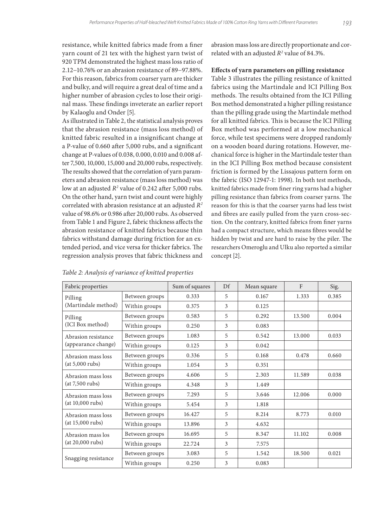resistance, while knitted fabrics made from a finer yarn count of 21 tex with the highest yarn twist of 920 TPM demonstrated the highest mass loss ratio of 2.12−10.76% or an abrasion resistance of 89−97.88%. For this reason, fabrics from coarser yarn are thicker and bulky, and will require a great deal of time and a higher number of abrasion cycles to lose their original mass. These findings inveterate an earlier report by Kalaoglu and Onder [5].

As illustrated in Table 2, the statistical analysis proves that the abrasion resistance (mass loss method) of knitted fabric resulted in a insignificant change at a P-value of 0.660 after 5,000 rubs, and a significant change at P-values of 0.038, 0.000, 0.010 and 0.008 after 7,500, 10,000, 15,000 and 20,000 rubs, respectively. The results showed that the correlation of yarn parameters and abrasion resistance (mass loss method) was low at an adjusted  $R^2$  value of 0.242 after 5,000 rubs. On the other hand, yarn twist and count were highly correlated with abrasion resistance at an adjusted *R2* value of 98.6% or 0.986 after 20,000 rubs. As observed from Table 1 and Figure 2, fabric thickness affects the abrasion resistance of knitted fabrics because thin fabrics withstand damage during friction for an extended period, and vice versa for thicker fabrics. The regression analysis proves that fabric thickness and

abrasion mass loss are directly proportionate and correlated with an adjusted  $R^2$  value of 84.3%.

#### **Effects of yarn parameters on pilling resistance**

Table 3 illustrates the pilling resistance of knitted fabrics using the Martindale and ICI Pilling Box methods. The results obtained from the ICI Pilling Box method demonstrated a higher pilling resistance than the pilling grade using the Martindale method for all knitted fabrics. This is because the ICI Pilling Box method was performed at a low mechanical force, while test specimens were dropped randomly on a wooden board during rotations. However, mechanical force is higher in the Martindale tester than in the ICI Pilling Box method because consistent friction is formed by the Lissajous pattern form on the fabric (ISO 12947-1: 1998). In both test methods, knitted fabrics made from finer ring yarns had a higher pilling resistance than fabrics from coarser yarns. The reason for this is that the coarser yarns had less twist and fibres are easily pulled from the yarn cross-section. On the contrary, knitted fabrics from finer yarns had a compact structure, which means fibres would be hidden by twist and are hard to raise by the piler. The researchers Omeroglu and Ulku also reported a similar concept [2].

| Fabric properties                          | Sum of squares | Df     | Mean square | $\mathbf{F}$ | Sig.   |       |
|--------------------------------------------|----------------|--------|-------------|--------------|--------|-------|
| Pilling                                    | Between groups | 0.333  | 5           | 0.167        | 1.333  | 0.385 |
| (Martindale method)                        | Within groups  | 0.375  | 3           | 0.125        |        |       |
| Pilling<br>(ICI Box method)                | Between groups | 0.583  | 5           | 0.292        | 13.500 | 0.004 |
|                                            | Within groups  | 0.250  | 3           | 0.083        |        |       |
| Abrasion resistance<br>(appearance change) | Between groups | 1.083  | 5           | 0.542        | 13.000 | 0.033 |
|                                            | Within groups  | 0.125  | 3           | 0.042        |        |       |
| Abrasion mass loss<br>(at 5,000 rubs)      | Between groups | 0.336  | 5           | 0.168        | 0.478  | 0.660 |
|                                            | Within groups  | 1.054  | 3           | 0.351        |        |       |
| Abrasion mass loss<br>(at 7,500 rubs)      | Between groups | 4.606  | 5           | 2.303        | 11.589 | 0.038 |
|                                            | Within groups  | 4.348  | 3           | 1.449        |        |       |
| Abrasion mass loss<br>(at 10,000 rubs)     | Between groups | 7.293  | 5           | 3.646        | 12.006 | 0.000 |
|                                            | Within groups  | 5.454  | 3           | 1.818        |        |       |
| Abrasion mass loss                         | Between groups | 16.427 | 5           | 8.214        | 8.773  | 0.010 |
| (at 15,000 rubs)                           | Within groups  | 13.896 | 3           | 4.632        |        |       |
| Abrasion mass los                          | Between groups | 16.695 | 5           | 8.347        | 11.102 | 0.008 |
| $(at 20,000 \text{ rubs})$                 | Within groups  | 22.724 | 3           | 7.575        |        |       |
|                                            | Between groups | 3.083  | 5           | 1.542        | 18.500 | 0.021 |
| Snagging resistance                        | Within groups  | 0.250  | 3           | 0.083        |        |       |

#### *Table 2: Analysis of variance of knitted properties*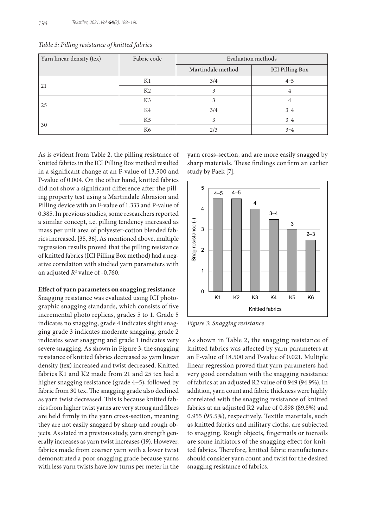| Yarn linear density (tex) | Fabric code    | Evaluation methods |                        |
|---------------------------|----------------|--------------------|------------------------|
|                           |                | Martindale method  | <b>ICI Pilling Box</b> |
|                           | K1             | 3/4                | $4 - 5$                |
| 21                        | K <sub>2</sub> |                    | 4                      |
| 25                        | K <sub>3</sub> |                    |                        |
|                           | K4             | 3/4                | $3 - 4$                |
|                           | K <sub>5</sub> |                    | $3 - 4$                |
| 30                        | K6             | 2/3                | $3 - 4$                |

*Table 3: Pilling resistance of knitted fabrics*

As is evident from Table 2, the pilling resistance of knitted fabrics in the ICI Pilling Box method resulted in a significant change at an F-value of 13.500 and P-value of 0.004. On the other hand, knitted fabrics did not show a significant difference after the pilling property test using a Martindale Abrasion and Pilling device with an F-value of 1.333 and P-value of 0.385. In previous studies, some researchers reported a similar concept, i.e. pilling tendency increased as mass per unit area of polyester-cotton blended fabrics increased. [35, 36]. As mentioned above, multiple regression results proved that the pilling resistance of knitted fabrics (ICI Pilling Box method) had a negative correlation with studied yarn parameters with an adjusted *R<sup>2</sup>* value of -0.760.

#### **Effect of yarn parameters on snagging resistance**

Snagging resistance was evaluated using ICI photographic snagging standards, which consists of five incremental photo replicas, grades 5 to 1. Grade 5 indicates no snagging, grade 4 indicates slight snagging grade 3 indicates moderate snagging, grade 2 indicates sever snagging and grade 1 indicates very severe snagging. As shown in Figure 3, the snagging resistance of knitted fabrics decreased as yarn linear density (tex) increased and twist decreased. Knitted fabrics K1 and K2 made from 21 and 25 tex had a higher snagging resistance (grade 4−5), followed by fabric from 30 tex. The snagging grade also declined as yarn twist decreased. This is because knitted fabrics from higher twist yarns are very strong and fibres are held firmly in the yarn cross-section, meaning they are not easily snagged by sharp and rough objects. As stated in a previous study, yarn strength generally increases as yarn twist increases (19). However, fabrics made from coarser yarn with a lower twist demonstrated a poor snagging grade because yarns with less yarn twists have low turns per meter in the

yarn cross-section, and are more easily snagged by sharp materials. These findings confirm an earlier study by Paek [7].



*Figure 3: Snagging resistance*

As shown in Table 2, the snagging resistance of knitted fabrics was affected by yarn parameters at an F-value of 18.500 and P-value of 0.021. Multiple linear regression proved that yarn parameters had very good correlation with the snagging resistance of fabrics at an adjusted R2 value of 0.949 (94.9%). In addition, yarn count and fabric thickness were highly correlated with the snagging resistance of knitted fabrics at an adjusted R2 value of 0.898 (89.8%) and 0.955 (95.5%), respectively. Textile materials, such as knitted fabrics and military cloths, are subjected to snagging. Rough objects, fingernails or toenails are some initiators of the snagging effect for knitted fabrics. Therefore, knitted fabric manufacturers should consider yarn count and twist for the desired snagging resistance of fabrics.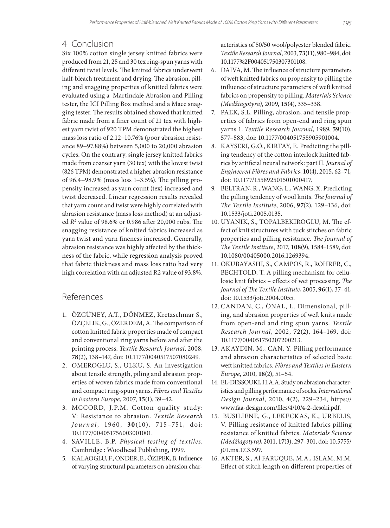# 4 Conclusion

Six 100% cotton single jersey knitted fabrics were produced from 21, 25 and 30 tex ring-spun yarns with different twist levels. The knitted fabrics underwent half-bleach treatment and drying. The abrasion, pilling and snagging properties of knitted fabrics were evaluated using a Martindale Abrasion and Pilling tester, the ICI Pilling Box method and a Mace snagging tester. The results obtained showed that knitted fabric made from a finer count of 21 tex with highest yarn twist of 920 TPM demonstrated the highest mass loss ratio of 2.12−10.76% (poor abrasion resistance 89−97.88%) between 5,000 to 20,000 abrasion cycles. On the contrary, single jersey knitted fabrics made from coarser yarn (30 tex) with the lowest twist (826 TPM) demonstrated a higher abrasion resistance of 96.4−98.9% (mass loss 1−3.5%). The pilling propensity increased as yarn count (tex) increased and twist decreased. Linear regression results revealed that yarn count and twist were highly correlated with abrasion resistance (mass loss method) at an adjusted *R2* value of 98.6% or 0.986 after 20,000 rubs. The snagging resistance of knitted fabrics increased as yarn twist and yarn fineness increased. Generally, abrasion resistance was highly affected by the thickness of the fabric, while regression analysis proved that fabric thickness and mass loss ratio had very high correlation with an adjusted R2 value of 93.8%.

# References

- 1. ÖZGÜNEY, A.T., DÖNMEZ, Kretzschmar S., ÖZÇELIK, G., ÖZERDEM, A. The comparison of cotton knitted fabric properties made of compact and conventional ring yarns before and after the printing process. *Textile Research Journal*, 2008, **78**(2), 138–147, doi: 10.1177/0040517507080249.
- 2. OMEROGLU, S., ULKU, S. An investigation about tensile strength, piling and abrasion properties of woven fabrics made from conventional and compact ring-spun yarns. *Fibres and Textiles in Eastern Europe*, 2007, **15**(1), 39–42.
- 3. MCCORD, J.P.M. Cotton quality study: V: Resistance to abrasion. *Textile Research Journal*, 1960, **30**(10), 715 –751, doi: 10.1177/004051756003001001.
- 4. SAVILLE, B.P. *Physical testing of textiles*. Cambridge : Woodhead Publishing, 1999.
- 5. KALAOGLU, F., ONDER, E., ÖZIPEK, B. Influence of varying structural parameters on abrasion char-

acteristics of 50/50 wool/polyester blended fabric. *Textile Research Journal*, 2003, **73**(11), 980–984, doi: 10.1177%2F004051750307301108.

- 6. DAIVA, M. The influence of structure parameters of weft knitted fabrics on propensity to pilling the influence of structure parameters of weft knitted fabrics on propensity to pilling. *Materials Science (Medžiagotyra)*, 2009, **15**(4), 335–338.
- 7. PAEK, S.L. Pilling, abrasion, and tensile properties of fabrics from open-end and ring spun yarns 1. *Textile Research Journal*, 1989, **59**(10), 577–583, doi: 10.1177/004051758905901004.
- 8. KAYSERI, G.Ö., KIRTAY, E. Predicting the pilling tendency of the cotton interlock knitted fabrics by artificial neural network: part II. *Journal of Engineered Fibres and Fabrics*, **10**(4), 2015, 62–71, doi: 10.1177/155892501501000417.
- 9. BELTRAN, R., WANG, L., WANG, X. Predicting the pilling tendency of wool knits. *The Journal of The Textile Institute*, 2006, **97**(2), 129–136, doi: 10.1533/joti.2005.0135.
- 10. UYANIK, S., TOPALBEKIROGLU, M. The effect of knit structures with tuck stitches on fabric properties and pilling resistance. *The Journal of The Textile Institute*, 2017, **108**(9), 1584‒1589, doi: 10.1080/00405000.2016.1269394.
- 11. OKUBAYASHI, S., CAMPOS, R., ROHRER, C., BECHTOLD, T. A pilling mechanism for cellulosic knit fabrics – effects of wet processing. *The Journal of The Textile Institute*, 2005, **96**(1), 37–41, doi: 10.1533/joti.2004.0055.
- 12. CANDAN, C., ÖNAL, L. Dimensional, pilling, and abrasion properties of weft knits made from open-end and ring spun yarns. *Textile Research Journal*, 2002, **72**(2), 164–169, doi: 10.1177/004051750207200213.
- 13. AKAYDIN, M., CAN, Y. Pilling performance and abrasion characteristics of selected basic weft knitted fabrics. *Fibres and Textiles in Eastern Europe*, 2010, **18**(2), 51–54.
- 14. EL-DESSOUKI, H.A.A. Study on abrasion characteristics and pilling performance of socks. *International Design Journal*, 2010, **4**(2), 229–234, https:// www.faa-design.com/files/4/10/4-2-desoki.pdf.
- 15. BUSILIENĖ, G., LEKECKAS, K., URBELIS, V. Pilling resistance of knitted fabrics pilling resistance of knitted fabrics. *Materials Science (Medžiagotyra)*, 2011, **17**(3), 297–301, doi: 10.5755/ j01.ms.17.3.597.
- 16. AKTER, S., Al FARUQUE, M.A., ISLAM, M.M. Effect of stitch length on different properties of